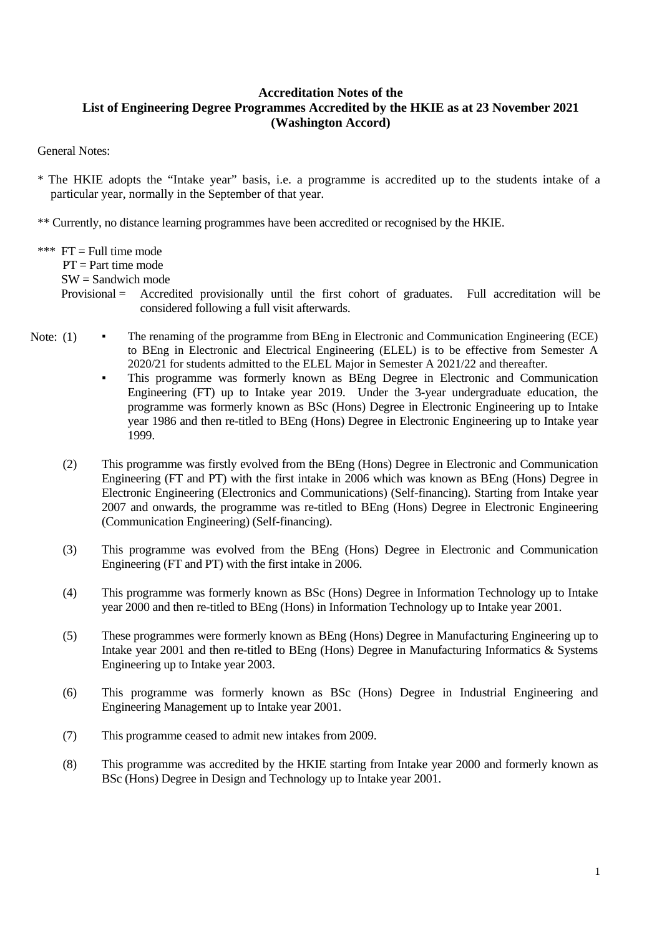General Notes:

- \* The HKIE adopts the "Intake year" basis, i.e. a programme is accredited up to the students intake of a particular year, normally in the September of that year.
- \*\* Currently, no distance learning programmes have been accredited or recognised by the HKIE.
- \*\*\*  $FT = Full time mode$  $PT = Part$  time mode SW = Sandwich mode
	- Provisional = Accredited provisionally until the first cohort of graduates. Full accreditation will be considered following a full visit afterwards.
- Note: (1) ▪ The renaming of the programme from BEng in Electronic and Communication Engineering (ECE) to BEng in Electronic and Electrical Engineering (ELEL) is to be effective from Semester A 2020/21 for students admitted to the ELEL Major in Semester A 2021/22 and thereafter.
	- This programme was formerly known as BEng Degree in Electronic and Communication Engineering (FT) up to Intake year 2019. Under the 3-year undergraduate education, the programme was formerly known as BSc (Hons) Degree in Electronic Engineering up to Intake year 1986 and then re-titled to BEng (Hons) Degree in Electronic Engineering up to Intake year 1999.
	- (2) This programme was firstly evolved from the BEng (Hons) Degree in Electronic and Communication Engineering (FT and PT) with the first intake in 2006 which was known as BEng (Hons) Degree in Electronic Engineering (Electronics and Communications) (Self-financing). Starting from Intake year 2007 and onwards, the programme was re-titled to BEng (Hons) Degree in Electronic Engineering (Communication Engineering) (Self-financing).
	- (3) This programme was evolved from the BEng (Hons) Degree in Electronic and Communication Engineering (FT and PT) with the first intake in 2006.
	- (4) This programme was formerly known as BSc (Hons) Degree in Information Technology up to Intake year 2000 and then re-titled to BEng (Hons) in Information Technology up to Intake year 2001.
	- (5) These programmes were formerly known as BEng (Hons) Degree in Manufacturing Engineering up to Intake year 2001 and then re-titled to BEng (Hons) Degree in Manufacturing Informatics & Systems Engineering up to Intake year 2003.
	- (6) This programme was formerly known as BSc (Hons) Degree in Industrial Engineering and Engineering Management up to Intake year 2001.
	- (7) This programme ceased to admit new intakes from 2009.
	- (8) This programme was accredited by the HKIE starting from Intake year 2000 and formerly known as BSc (Hons) Degree in Design and Technology up to Intake year 2001.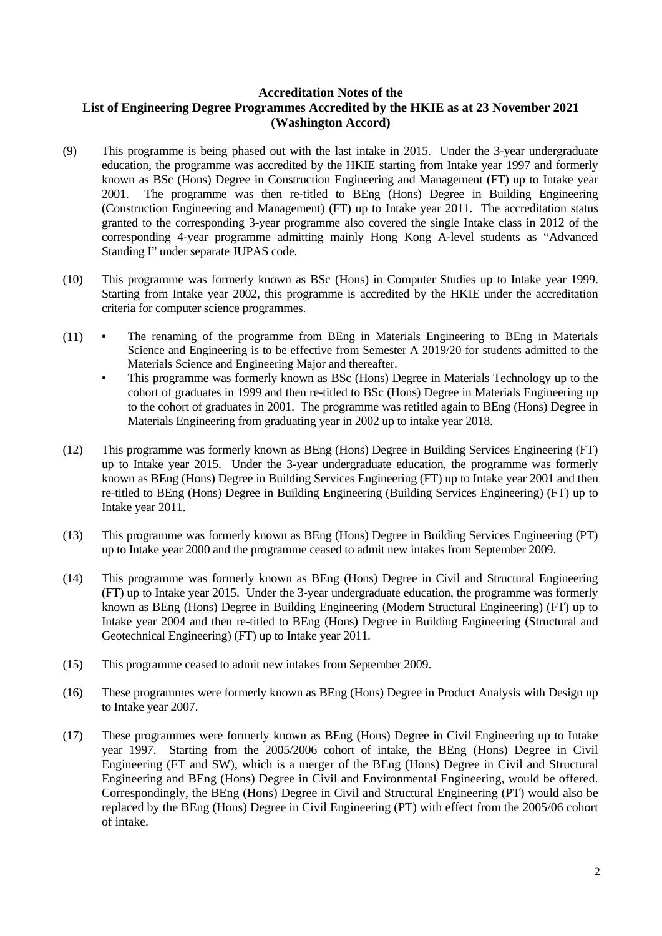- (9) This programme is being phased out with the last intake in 2015. Under the 3-year undergraduate education, the programme was accredited by the HKIE starting from Intake year 1997 and formerly known as BSc (Hons) Degree in Construction Engineering and Management (FT) up to Intake year 2001. The programme was then re-titled to BEng (Hons) Degree in Building Engineering (Construction Engineering and Management) (FT) up to Intake year 2011. The accreditation status granted to the corresponding 3-year programme also covered the single Intake class in 2012 of the corresponding 4-year programme admitting mainly Hong Kong A-level students as "Advanced Standing I" under separate JUPAS code.
- (10) This programme was formerly known as BSc (Hons) in Computer Studies up to Intake year 1999. Starting from Intake year 2002, this programme is accredited by the HKIE under the accreditation criteria for computer science programmes.
- (11) The renaming of the programme from BEng in Materials Engineering to BEng in Materials Science and Engineering is to be effective from Semester A 2019/20 for students admitted to the Materials Science and Engineering Major and thereafter.
	- This programme was formerly known as BSc (Hons) Degree in Materials Technology up to the cohort of graduates in 1999 and then re-titled to BSc (Hons) Degree in Materials Engineering up to the cohort of graduates in 2001. The programme was retitled again to BEng (Hons) Degree in Materials Engineering from graduating year in 2002 up to intake year 2018.
- (12) This programme was formerly known as BEng (Hons) Degree in Building Services Engineering (FT) up to Intake year 2015. Under the 3-year undergraduate education, the programme was formerly known as BEng (Hons) Degree in Building Services Engineering (FT) up to Intake year 2001 and then re-titled to BEng (Hons) Degree in Building Engineering (Building Services Engineering) (FT) up to Intake year 2011.
- (13) This programme was formerly known as BEng (Hons) Degree in Building Services Engineering (PT) up to Intake year 2000 and the programme ceased to admit new intakes from September 2009.
- (14) This programme was formerly known as BEng (Hons) Degree in Civil and Structural Engineering (FT) up to Intake year 2015. Under the 3-year undergraduate education, the programme was formerly known as BEng (Hons) Degree in Building Engineering (Modern Structural Engineering) (FT) up to Intake year 2004 and then re-titled to BEng (Hons) Degree in Building Engineering (Structural and Geotechnical Engineering) (FT) up to Intake year 2011.
- (15) This programme ceased to admit new intakes from September 2009.
- (16) These programmes were formerly known as BEng (Hons) Degree in Product Analysis with Design up to Intake year 2007.
- (17) These programmes were formerly known as BEng (Hons) Degree in Civil Engineering up to Intake year 1997. Starting from the 2005/2006 cohort of intake, the BEng (Hons) Degree in Civil Engineering (FT and SW), which is a merger of the BEng (Hons) Degree in Civil and Structural Engineering and BEng (Hons) Degree in Civil and Environmental Engineering, would be offered. Correspondingly, the BEng (Hons) Degree in Civil and Structural Engineering (PT) would also be replaced by the BEng (Hons) Degree in Civil Engineering (PT) with effect from the 2005/06 cohort of intake.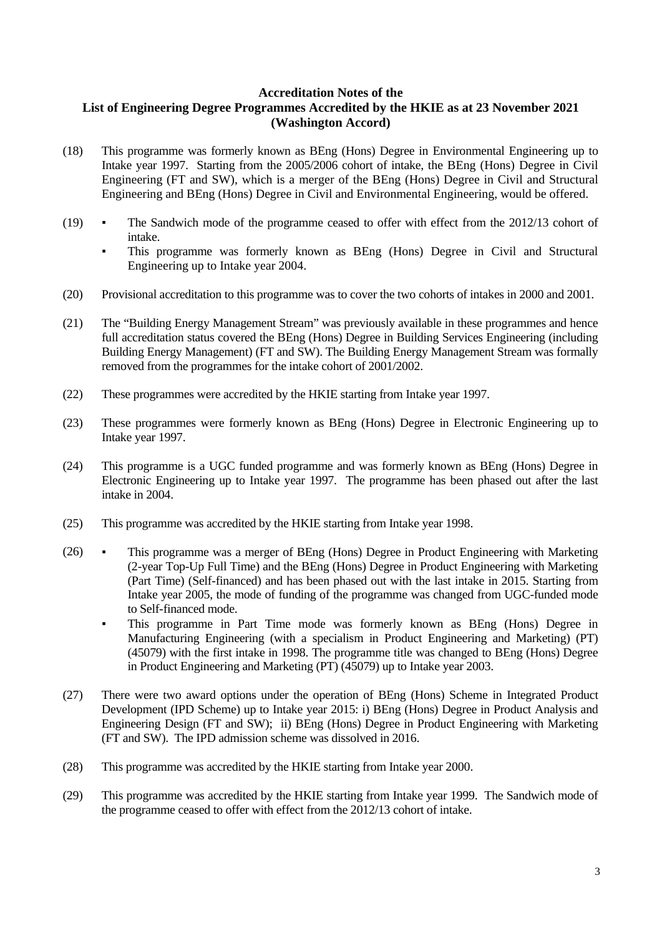- (18) This programme was formerly known as BEng (Hons) Degree in Environmental Engineering up to Intake year 1997. Starting from the 2005/2006 cohort of intake, the BEng (Hons) Degree in Civil Engineering (FT and SW), which is a merger of the BEng (Hons) Degree in Civil and Structural Engineering and BEng (Hons) Degree in Civil and Environmental Engineering, would be offered.
- (19) The Sandwich mode of the programme ceased to offer with effect from the 2012/13 cohort of intake.
	- This programme was formerly known as BEng (Hons) Degree in Civil and Structural Engineering up to Intake year 2004.
- (20) Provisional accreditation to this programme was to cover the two cohorts of intakes in 2000 and 2001.
- (21) The "Building Energy Management Stream" was previously available in these programmes and hence full accreditation status covered the BEng (Hons) Degree in Building Services Engineering (including Building Energy Management) (FT and SW). The Building Energy Management Stream was formally removed from the programmes for the intake cohort of 2001/2002.
- (22) These programmes were accredited by the HKIE starting from Intake year 1997.
- (23) These programmes were formerly known as BEng (Hons) Degree in Electronic Engineering up to Intake year 1997.
- (24) This programme is a UGC funded programme and was formerly known as BEng (Hons) Degree in Electronic Engineering up to Intake year 1997. The programme has been phased out after the last intake in 2004.
- (25) This programme was accredited by the HKIE starting from Intake year 1998.
- (26) This programme was a merger of BEng (Hons) Degree in Product Engineering with Marketing (2-year Top-Up Full Time) and the BEng (Hons) Degree in Product Engineering with Marketing (Part Time) (Self-financed) and has been phased out with the last intake in 2015. Starting from Intake year 2005, the mode of funding of the programme was changed from UGC-funded mode to Self-financed mode.
	- This programme in Part Time mode was formerly known as BEng (Hons) Degree in Manufacturing Engineering (with a specialism in Product Engineering and Marketing) (PT) (45079) with the first intake in 1998. The programme title was changed to BEng (Hons) Degree in Product Engineering and Marketing (PT) (45079) up to Intake year 2003.
- (27) There were two award options under the operation of BEng (Hons) Scheme in Integrated Product Development (IPD Scheme) up to Intake year 2015: i) BEng (Hons) Degree in Product Analysis and Engineering Design (FT and SW); ii) BEng (Hons) Degree in Product Engineering with Marketing (FT and SW). The IPD admission scheme was dissolved in 2016.
- (28) This programme was accredited by the HKIE starting from Intake year 2000.
- (29) This programme was accredited by the HKIE starting from Intake year 1999. The Sandwich mode of the programme ceased to offer with effect from the 2012/13 cohort of intake.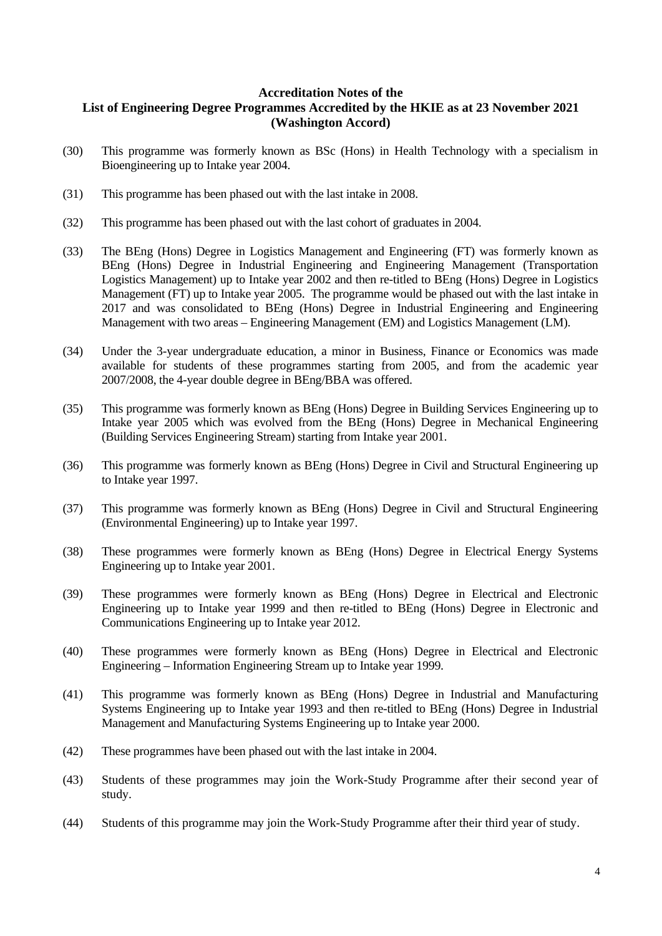- (30) This programme was formerly known as BSc (Hons) in Health Technology with a specialism in Bioengineering up to Intake year 2004.
- (31) This programme has been phased out with the last intake in 2008.
- (32) This programme has been phased out with the last cohort of graduates in 2004.
- (33) The BEng (Hons) Degree in Logistics Management and Engineering (FT) was formerly known as BEng (Hons) Degree in Industrial Engineering and Engineering Management (Transportation Logistics Management) up to Intake year 2002 and then re-titled to BEng (Hons) Degree in Logistics Management (FT) up to Intake year 2005. The programme would be phased out with the last intake in 2017 and was consolidated to BEng (Hons) Degree in Industrial Engineering and Engineering Management with two areas – Engineering Management (EM) and Logistics Management (LM).
- (34) Under the 3-year undergraduate education, a minor in Business, Finance or Economics was made available for students of these programmes starting from 2005, and from the academic year 2007/2008, the 4-year double degree in BEng/BBA was offered.
- (35) This programme was formerly known as BEng (Hons) Degree in Building Services Engineering up to Intake year 2005 which was evolved from the BEng (Hons) Degree in Mechanical Engineering (Building Services Engineering Stream) starting from Intake year 2001.
- (36) This programme was formerly known as BEng (Hons) Degree in Civil and Structural Engineering up to Intake year 1997.
- (37) This programme was formerly known as BEng (Hons) Degree in Civil and Structural Engineering (Environmental Engineering) up to Intake year 1997.
- (38) These programmes were formerly known as BEng (Hons) Degree in Electrical Energy Systems Engineering up to Intake year 2001.
- (39) These programmes were formerly known as BEng (Hons) Degree in Electrical and Electronic Engineering up to Intake year 1999 and then re-titled to BEng (Hons) Degree in Electronic and Communications Engineering up to Intake year 2012.
- (40) These programmes were formerly known as BEng (Hons) Degree in Electrical and Electronic Engineering – Information Engineering Stream up to Intake year 1999.
- (41) This programme was formerly known as BEng (Hons) Degree in Industrial and Manufacturing Systems Engineering up to Intake year 1993 and then re-titled to BEng (Hons) Degree in Industrial Management and Manufacturing Systems Engineering up to Intake year 2000.
- (42) These programmes have been phased out with the last intake in 2004.
- (43) Students of these programmes may join the Work-Study Programme after their second year of study.
- (44) Students of this programme may join the Work-Study Programme after their third year of study.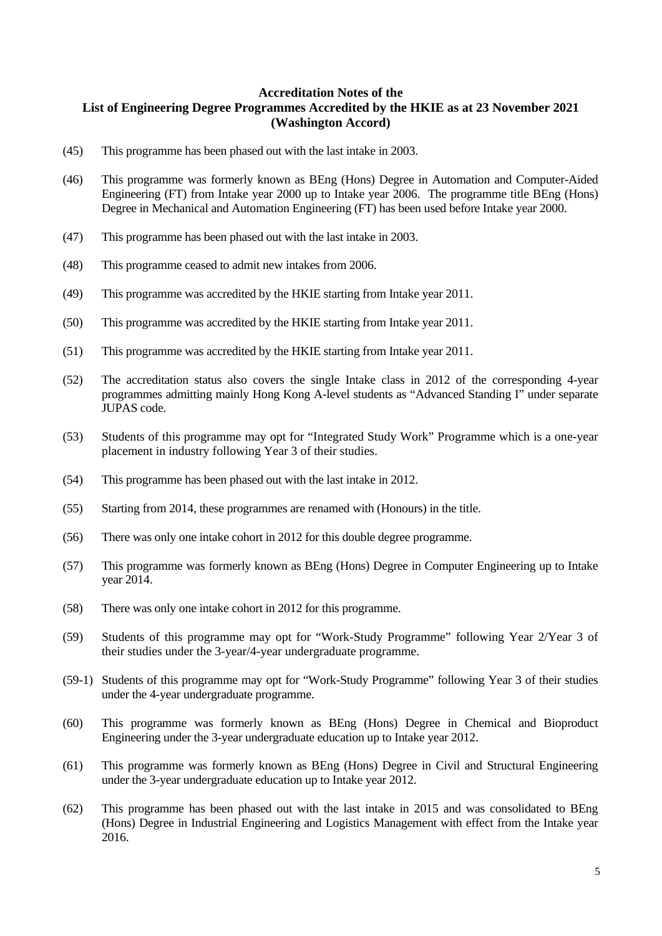- (45) This programme has been phased out with the last intake in 2003.
- (46) This programme was formerly known as BEng (Hons) Degree in Automation and Computer-Aided Engineering (FT) from Intake year 2000 up to Intake year 2006. The programme title BEng (Hons) Degree in Mechanical and Automation Engineering (FT) has been used before Intake year 2000.
- (47) This programme has been phased out with the last intake in 2003.
- (48) This programme ceased to admit new intakes from 2006.
- (49) This programme was accredited by the HKIE starting from Intake year 2011.
- (50) This programme was accredited by the HKIE starting from Intake year 2011.
- (51) This programme was accredited by the HKIE starting from Intake year 2011.
- (52) The accreditation status also covers the single Intake class in 2012 of the corresponding 4-year programmes admitting mainly Hong Kong A-level students as "Advanced Standing I" under separate JUPAS code.
- (53) Students of this programme may opt for "Integrated Study Work" Programme which is a one-year placement in industry following Year 3 of their studies.
- (54) This programme has been phased out with the last intake in 2012.
- (55) Starting from 2014, these programmes are renamed with (Honours) in the title.
- (56) There was only one intake cohort in 2012 for this double degree programme.
- (57) This programme was formerly known as BEng (Hons) Degree in Computer Engineering up to Intake year 2014.
- (58) There was only one intake cohort in 2012 for this programme.
- (59) Students of this programme may opt for "Work-Study Programme" following Year 2/Year 3 of their studies under the 3-year/4-year undergraduate programme.
- (59-1) Students of this programme may opt for "Work-Study Programme" following Year 3 of their studies under the 4-year undergraduate programme.
- (60) This programme was formerly known as BEng (Hons) Degree in Chemical and Bioproduct Engineering under the 3-year undergraduate education up to Intake year 2012.
- (61) This programme was formerly known as BEng (Hons) Degree in Civil and Structural Engineering under the 3-year undergraduate education up to Intake year 2012.
- (62) This programme has been phased out with the last intake in 2015 and was consolidated to BEng (Hons) Degree in Industrial Engineering and Logistics Management with effect from the Intake year 2016.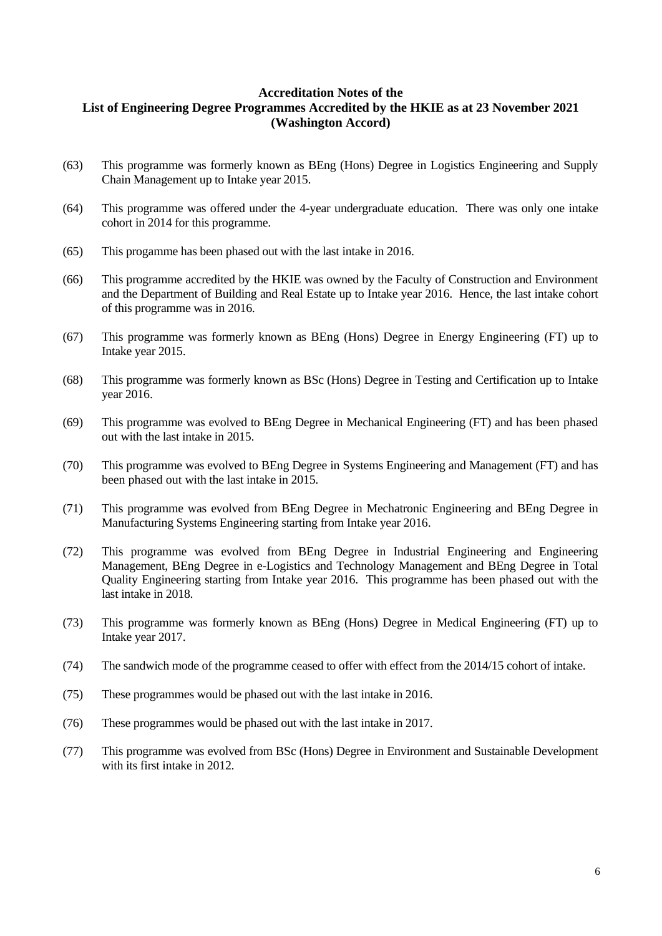- (63) This programme was formerly known as BEng (Hons) Degree in Logistics Engineering and Supply Chain Management up to Intake year 2015.
- (64) This programme was offered under the 4-year undergraduate education. There was only one intake cohort in 2014 for this programme.
- (65) This progamme has been phased out with the last intake in 2016.
- (66) This programme accredited by the HKIE was owned by the Faculty of Construction and Environment and the Department of Building and Real Estate up to Intake year 2016. Hence, the last intake cohort of this programme was in 2016.
- (67) This programme was formerly known as BEng (Hons) Degree in Energy Engineering (FT) up to Intake year 2015.
- (68) This programme was formerly known as BSc (Hons) Degree in Testing and Certification up to Intake year 2016.
- (69) This programme was evolved to BEng Degree in Mechanical Engineering (FT) and has been phased out with the last intake in 2015.
- (70) This programme was evolved to BEng Degree in Systems Engineering and Management (FT) and has been phased out with the last intake in 2015.
- (71) This programme was evolved from BEng Degree in Mechatronic Engineering and BEng Degree in Manufacturing Systems Engineering starting from Intake year 2016.
- (72) This programme was evolved from BEng Degree in Industrial Engineering and Engineering Management, BEng Degree in e-Logistics and Technology Management and BEng Degree in Total Quality Engineering starting from Intake year 2016. This programme has been phased out with the last intake in 2018.
- (73) This programme was formerly known as BEng (Hons) Degree in Medical Engineering (FT) up to Intake year 2017.
- (74) The sandwich mode of the programme ceased to offer with effect from the 2014/15 cohort of intake.
- (75) These programmes would be phased out with the last intake in 2016.
- (76) These programmes would be phased out with the last intake in 2017.
- (77) This programme was evolved from BSc (Hons) Degree in Environment and Sustainable Development with its first intake in 2012.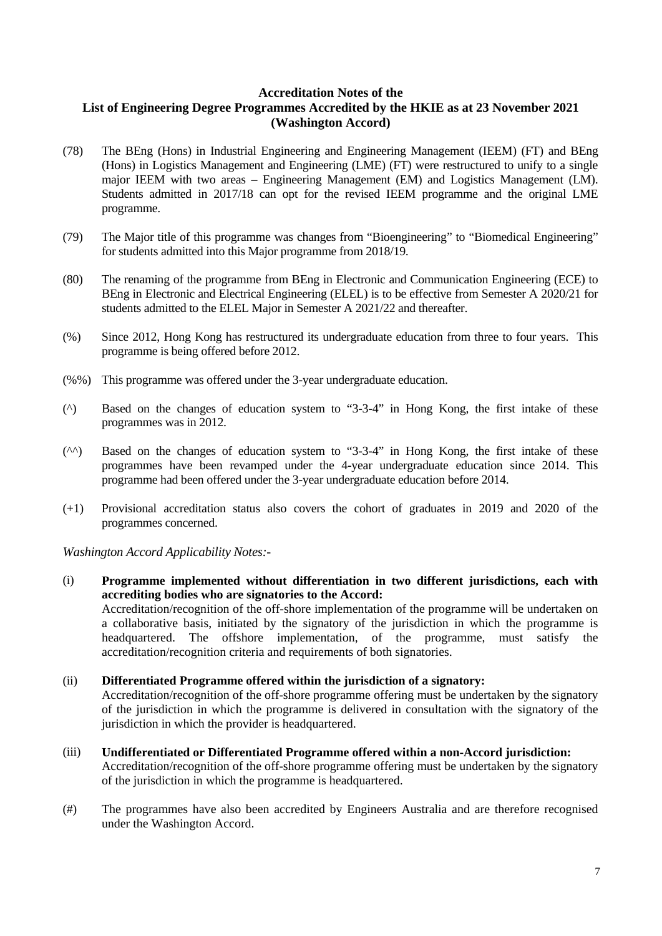- (78) The BEng (Hons) in Industrial Engineering and Engineering Management (IEEM) (FT) and BEng (Hons) in Logistics Management and Engineering (LME) (FT) were restructured to unify to a single major IEEM with two areas – Engineering Management (EM) and Logistics Management (LM). Students admitted in 2017/18 can opt for the revised IEEM programme and the original LME programme.
- (79) The Major title of this programme was changes from "Bioengineering" to "Biomedical Engineering" for students admitted into this Major programme from 2018/19.
- (80) The renaming of the programme from BEng in Electronic and Communication Engineering (ECE) to BEng in Electronic and Electrical Engineering (ELEL) is to be effective from Semester A 2020/21 for students admitted to the ELEL Major in Semester A 2021/22 and thereafter.
- (%) Since 2012, Hong Kong has restructured its undergraduate education from three to four years. This programme is being offered before 2012.
- (%%) This programme was offered under the 3-year undergraduate education.
- (^) Based on the changes of education system to "3-3-4" in Hong Kong, the first intake of these programmes was in 2012.
- (^^) Based on the changes of education system to "3-3-4" in Hong Kong, the first intake of these programmes have been revamped under the 4-year undergraduate education since 2014. This programme had been offered under the 3-year undergraduate education before 2014.
- (+1) Provisional accreditation status also covers the cohort of graduates in 2019 and 2020 of the programmes concerned.

*Washington Accord Applicability Notes:-*

- (i) **Programme implemented without differentiation in two different jurisdictions, each with accrediting bodies who are signatories to the Accord:**  Accreditation/recognition of the off-shore implementation of the programme will be undertaken on a collaborative basis, initiated by the signatory of the jurisdiction in which the programme is headquartered. The offshore implementation, of the programme, must satisfy the accreditation/recognition criteria and requirements of both signatories.
- (ii) **Differentiated Programme offered within the jurisdiction of a signatory:**  Accreditation/recognition of the off-shore programme offering must be undertaken by the signatory of the jurisdiction in which the programme is delivered in consultation with the signatory of the jurisdiction in which the provider is headquartered.
- (iii) **Undifferentiated or Differentiated Programme offered within a non-Accord jurisdiction:**  Accreditation/recognition of the off-shore programme offering must be undertaken by the signatory of the jurisdiction in which the programme is headquartered.
- (#) The programmes have also been accredited by Engineers Australia and are therefore recognised under the Washington Accord.